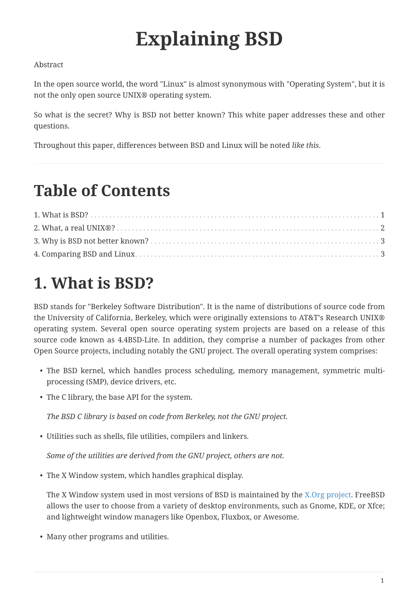# **Explaining BSD**

#### Abstract

In the open source world, the word "Linux" is almost synonymous with "Operating System", but it is not the only open source UNIX® operating system.

So what is the secret? Why is BSD not better known? This white paper addresses these and other questions.

Throughout this paper, differences between BSD and Linux will be noted *like this*.

### **Table of Contents**

### <span id="page-0-0"></span>**1. What is BSD?**

BSD stands for "Berkeley Software Distribution". It is the name of distributions of source code from the University of California, Berkeley, which were originally extensions to AT&T's Research UNIX® operating system. Several open source operating system projects are based on a release of this source code known as 4.4BSD-Lite. In addition, they comprise a number of packages from other Open Source projects, including notably the GNU project. The overall operating system comprises:

- The BSD kernel, which handles process scheduling, memory management, symmetric multiprocessing (SMP), device drivers, etc.
- The C library, the base API for the system.

*The BSD C library is based on code from Berkeley, not the GNU project.*

• Utilities such as shells, file utilities, compilers and linkers.

*Some of the utilities are derived from the GNU project, others are not.*

• The X Window system, which handles graphical display.

The X Window system used in most versions of BSD is maintained by the [X.Org project](http://www.X.org/). FreeBSD allows the user to choose from a variety of desktop environments, such as Gnome, KDE, or Xfce; and lightweight window managers like Openbox, Fluxbox, or Awesome.

• Many other programs and utilities.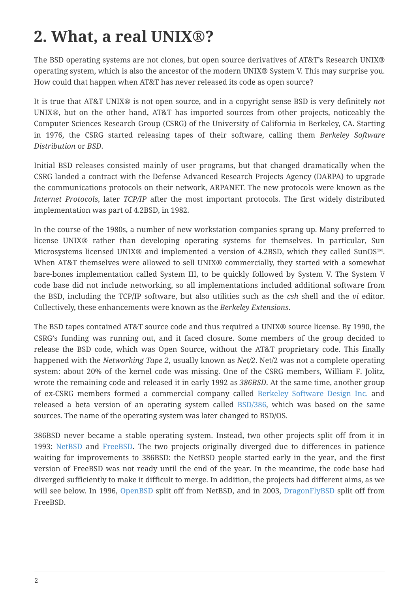### <span id="page-1-0"></span>**2. What, a real UNIX®?**

The BSD operating systems are not clones, but open source derivatives of AT&T's Research UNIX® operating system, which is also the ancestor of the modern UNIX® System V. This may surprise you. How could that happen when AT&T has never released its code as open source?

It is true that AT&T UNIX® is not open source, and in a copyright sense BSD is very definitely *not* UNIX®, but on the other hand, AT&T has imported sources from other projects, noticeably the Computer Sciences Research Group (CSRG) of the University of California in Berkeley, CA. Starting in 1976, the CSRG started releasing tapes of their software, calling them *Berkeley Software Distribution* or *BSD*.

Initial BSD releases consisted mainly of user programs, but that changed dramatically when the CSRG landed a contract with the Defense Advanced Research Projects Agency (DARPA) to upgrade the communications protocols on their network, ARPANET. The new protocols were known as the *Internet Protocols*, later *TCP/IP* after the most important protocols. The first widely distributed implementation was part of 4.2BSD, in 1982.

In the course of the 1980s, a number of new workstation companies sprang up. Many preferred to license UNIX® rather than developing operating systems for themselves. In particular, Sun Microsystems licensed UNIX® and implemented a version of 4.2BSD, which they called SunOS™. When AT&T themselves were allowed to sell UNIX® commercially, they started with a somewhat bare-bones implementation called System III, to be quickly followed by System V. The System V code base did not include networking, so all implementations included additional software from the BSD, including the TCP/IP software, but also utilities such as the *csh* shell and the *vi* editor. Collectively, these enhancements were known as the *Berkeley Extensions*.

The BSD tapes contained AT&T source code and thus required a UNIX® source license. By 1990, the CSRG's funding was running out, and it faced closure. Some members of the group decided to release the BSD code, which was Open Source, without the AT&T proprietary code. This finally happened with the *Networking Tape 2*, usually known as *Net/2*. Net/2 was not a complete operating system: about 20% of the kernel code was missing. One of the CSRG members, William F. Jolitz, wrote the remaining code and released it in early 1992 as *386BSD*. At the same time, another group of ex-CSRG members formed a commercial company called [Berkeley Software Design Inc.](http://www.bsdi.com/) and released a beta version of an operating system called [BSD/386](http://www.bsdi.com/), which was based on the same sources. The name of the operating system was later changed to BSD/OS.

386BSD never became a stable operating system. Instead, two other projects split off from it in 1993: [NetBSD](http://www.NetBSD.org/) and [FreeBSD.](https://www.FreeBSD.org/) The two projects originally diverged due to differences in patience waiting for improvements to 386BSD: the NetBSD people started early in the year, and the first version of FreeBSD was not ready until the end of the year. In the meantime, the code base had diverged sufficiently to make it difficult to merge. In addition, the projects had different aims, as we will see below. In 1996, [OpenBSD](http://www.OpenBSD.org/) split off from NetBSD, and in 2003, [DragonFlyBSD](http://www.dragonflybsd.org/) split off from FreeBSD.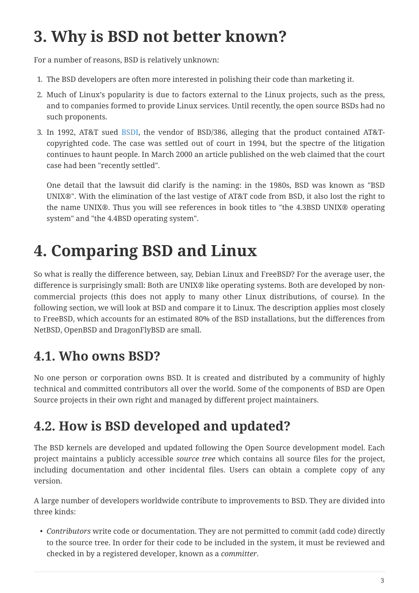### <span id="page-2-0"></span>**3. Why is BSD not better known?**

For a number of reasons, BSD is relatively unknown:

- 1. The BSD developers are often more interested in polishing their code than marketing it.
- 2. Much of Linux's popularity is due to factors external to the Linux projects, such as the press, and to companies formed to provide Linux services. Until recently, the open source BSDs had no such proponents.
- 3. In 1992, AT&T sued [BSDI,](http://www.bsdi.com/) the vendor of BSD/386, alleging that the product contained AT&Tcopyrighted code. The case was settled out of court in 1994, but the spectre of the litigation continues to haunt people. In March 2000 an article published on the web claimed that the court case had been "recently settled".

One detail that the lawsuit did clarify is the naming: in the 1980s, BSD was known as "BSD UNIX®". With the elimination of the last vestige of AT&T code from BSD, it also lost the right to the name UNIX®. Thus you will see references in book titles to "the 4.3BSD UNIX® operating system" and "the 4.4BSD operating system".

## <span id="page-2-1"></span>**4. Comparing BSD and Linux**

So what is really the difference between, say, Debian Linux and FreeBSD? For the average user, the difference is surprisingly small: Both are UNIX® like operating systems. Both are developed by noncommercial projects (this does not apply to many other Linux distributions, of course). In the following section, we will look at BSD and compare it to Linux. The description applies most closely to FreeBSD, which accounts for an estimated 80% of the BSD installations, but the differences from NetBSD, OpenBSD and DragonFlyBSD are small.

### **4.1. Who owns BSD?**

No one person or corporation owns BSD. It is created and distributed by a community of highly technical and committed contributors all over the world. Some of the components of BSD are Open Source projects in their own right and managed by different project maintainers.

### **4.2. How is BSD developed and updated?**

The BSD kernels are developed and updated following the Open Source development model. Each project maintains a publicly accessible *source tree* which contains all source files for the project, including documentation and other incidental files. Users can obtain a complete copy of any version.

A large number of developers worldwide contribute to improvements to BSD. They are divided into three kinds:

• *Contributors* write code or documentation. They are not permitted to commit (add code) directly to the source tree. In order for their code to be included in the system, it must be reviewed and checked in by a registered developer, known as a *committer*.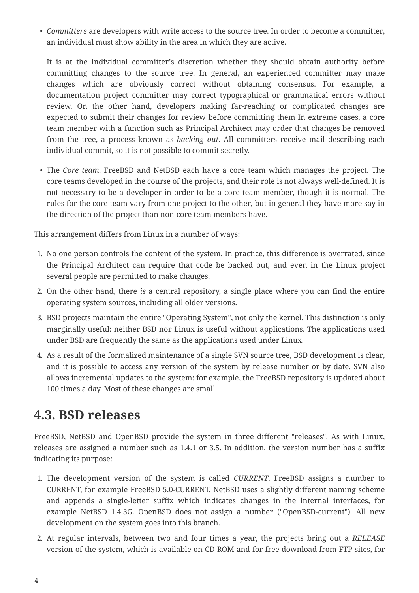• *Committers* are developers with write access to the source tree. In order to become a committer, an individual must show ability in the area in which they are active.

It is at the individual committer's discretion whether they should obtain authority before committing changes to the source tree. In general, an experienced committer may make changes which are obviously correct without obtaining consensus. For example, a documentation project committer may correct typographical or grammatical errors without review. On the other hand, developers making far-reaching or complicated changes are expected to submit their changes for review before committing them In extreme cases, a core team member with a function such as Principal Architect may order that changes be removed from the tree, a process known as *backing out*. All committers receive mail describing each individual commit, so it is not possible to commit secretly.

• The *Core team*. FreeBSD and NetBSD each have a core team which manages the project. The core teams developed in the course of the projects, and their role is not always well-defined. It is not necessary to be a developer in order to be a core team member, though it is normal. The rules for the core team vary from one project to the other, but in general they have more say in the direction of the project than non-core team members have.

This arrangement differs from Linux in a number of ways:

- 1. No one person controls the content of the system. In practice, this difference is overrated, since the Principal Architect can require that code be backed out, and even in the Linux project several people are permitted to make changes.
- 2. On the other hand, there *is* a central repository, a single place where you can find the entire operating system sources, including all older versions.
- 3. BSD projects maintain the entire "Operating System", not only the kernel. This distinction is only marginally useful: neither BSD nor Linux is useful without applications. The applications used under BSD are frequently the same as the applications used under Linux.
- 4. As a result of the formalized maintenance of a single SVN source tree, BSD development is clear, and it is possible to access any version of the system by release number or by date. SVN also allows incremental updates to the system: for example, the FreeBSD repository is updated about 100 times a day. Most of these changes are small.

#### **4.3. BSD releases**

FreeBSD, NetBSD and OpenBSD provide the system in three different "releases". As with Linux, releases are assigned a number such as 1.4.1 or 3.5. In addition, the version number has a suffix indicating its purpose:

- 1. The development version of the system is called *CURRENT*. FreeBSD assigns a number to CURRENT, for example FreeBSD 5.0-CURRENT. NetBSD uses a slightly different naming scheme and appends a single-letter suffix which indicates changes in the internal interfaces, for example NetBSD 1.4.3G. OpenBSD does not assign a number ("OpenBSD-current"). All new development on the system goes into this branch.
- 2. At regular intervals, between two and four times a year, the projects bring out a *RELEASE* version of the system, which is available on CD-ROM and for free download from FTP sites, for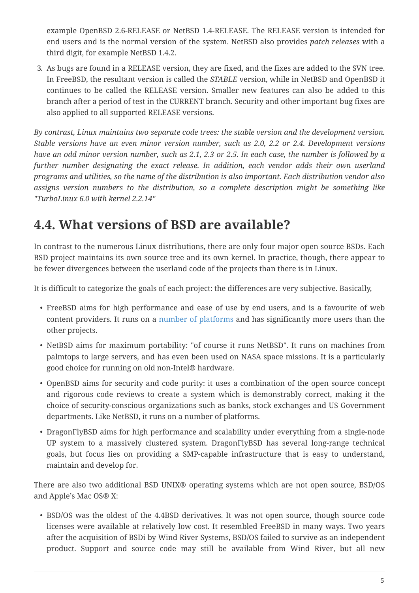example OpenBSD 2.6-RELEASE or NetBSD 1.4-RELEASE. The RELEASE version is intended for end users and is the normal version of the system. NetBSD also provides *patch releases* with a third digit, for example NetBSD 1.4.2.

3. As bugs are found in a RELEASE version, they are fixed, and the fixes are added to the SVN tree. In FreeBSD, the resultant version is called the *STABLE* version, while in NetBSD and OpenBSD it continues to be called the RELEASE version. Smaller new features can also be added to this branch after a period of test in the CURRENT branch. Security and other important bug fixes are also applied to all supported RELEASE versions.

*By contrast, Linux maintains two separate code trees: the stable version and the development version. Stable versions have an even minor version number, such as 2.0, 2.2 or 2.4. Development versions have an odd minor version number, such as 2.1, 2.3 or 2.5. In each case, the number is followed by a further number designating the exact release. In addition, each vendor adds their own userland programs and utilities, so the name of the distribution is also important. Each distribution vendor also assigns version numbers to the distribution, so a complete description might be something like "TurboLinux 6.0 with kernel 2.2.14"*

#### **4.4. What versions of BSD are available?**

In contrast to the numerous Linux distributions, there are only four major open source BSDs. Each BSD project maintains its own source tree and its own kernel. In practice, though, there appear to be fewer divergences between the userland code of the projects than there is in Linux.

It is difficult to categorize the goals of each project: the differences are very subjective. Basically,

- FreeBSD aims for high performance and ease of use by end users, and is a favourite of web content providers. It runs on a [number of platforms](https://www.FreeBSD.org/platforms/) and has significantly more users than the other projects.
- NetBSD aims for maximum portability: "of course it runs NetBSD". It runs on machines from palmtops to large servers, and has even been used on NASA space missions. It is a particularly good choice for running on old non-Intel® hardware.
- OpenBSD aims for security and code purity: it uses a combination of the open source concept and rigorous code reviews to create a system which is demonstrably correct, making it the choice of security-conscious organizations such as banks, stock exchanges and US Government departments. Like NetBSD, it runs on a number of platforms.
- DragonFlyBSD aims for high performance and scalability under everything from a single-node UP system to a massively clustered system. DragonFlyBSD has several long-range technical goals, but focus lies on providing a SMP-capable infrastructure that is easy to understand, maintain and develop for.

There are also two additional BSD UNIX® operating systems which are not open source, BSD/OS and Apple's Mac OS® X:

• BSD/OS was the oldest of the 4.4BSD derivatives. It was not open source, though source code licenses were available at relatively low cost. It resembled FreeBSD in many ways. Two years after the acquisition of BSDi by Wind River Systems, BSD/OS failed to survive as an independent product. Support and source code may still be available from Wind River, but all new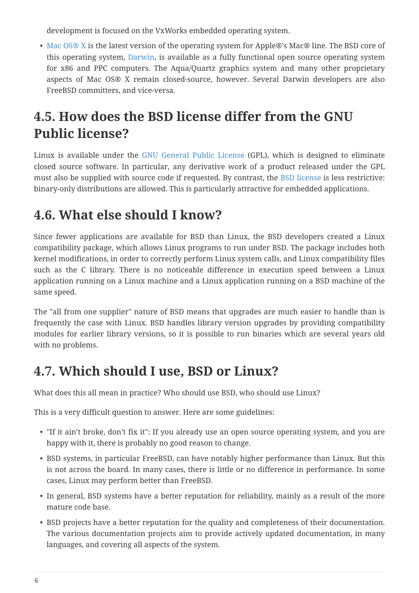development is focused on the VxWorks embedded operating system.

• [Mac OS® X](http://www.apple.com/macosx/server/) is the latest version of the operating system for Apple®'s Mac® line. The BSD core of this operating system, [Darwin,](http://developer.apple.com/darwin/) is available as a fully functional open source operating system for x86 and PPC computers. The Aqua/Quartz graphics system and many other proprietary aspects of Mac OS® X remain closed-source, however. Several Darwin developers are also FreeBSD committers, and vice-versa.

#### **4.5. How does the BSD license differ from the GNU Public license?**

Linux is available under the [GNU General Public License](http://www.fsf.org/copyleft/gpl.html) (GPL), which is designed to eliminate closed source software. In particular, any derivative work of a product released under the GPL must also be supplied with source code if requested. By contrast, the [BSD license](http://www.opensource.org/licenses/bsd-license.html) is less restrictive: binary-only distributions are allowed. This is particularly attractive for embedded applications.

#### **4.6. What else should I know?**

Since fewer applications are available for BSD than Linux, the BSD developers created a Linux compatibility package, which allows Linux programs to run under BSD. The package includes both kernel modifications, in order to correctly perform Linux system calls, and Linux compatibility files such as the C library. There is no noticeable difference in execution speed between a Linux application running on a Linux machine and a Linux application running on a BSD machine of the same speed.

The "all from one supplier" nature of BSD means that upgrades are much easier to handle than is frequently the case with Linux. BSD handles library version upgrades by providing compatibility modules for earlier library versions, so it is possible to run binaries which are several years old with no problems.

#### **4.7. Which should I use, BSD or Linux?**

What does this all mean in practice? Who should use BSD, who should use Linux?

This is a very difficult question to answer. Here are some guidelines:

- "If it ain't broke, don't fix it": If you already use an open source operating system, and you are happy with it, there is probably no good reason to change.
- BSD systems, in particular FreeBSD, can have notably higher performance than Linux. But this is not across the board. In many cases, there is little or no difference in performance. In some cases, Linux may perform better than FreeBSD.
- In general, BSD systems have a better reputation for reliability, mainly as a result of the more mature code base.
- BSD projects have a better reputation for the quality and completeness of their documentation. The various documentation projects aim to provide actively updated documentation, in many languages, and covering all aspects of the system.